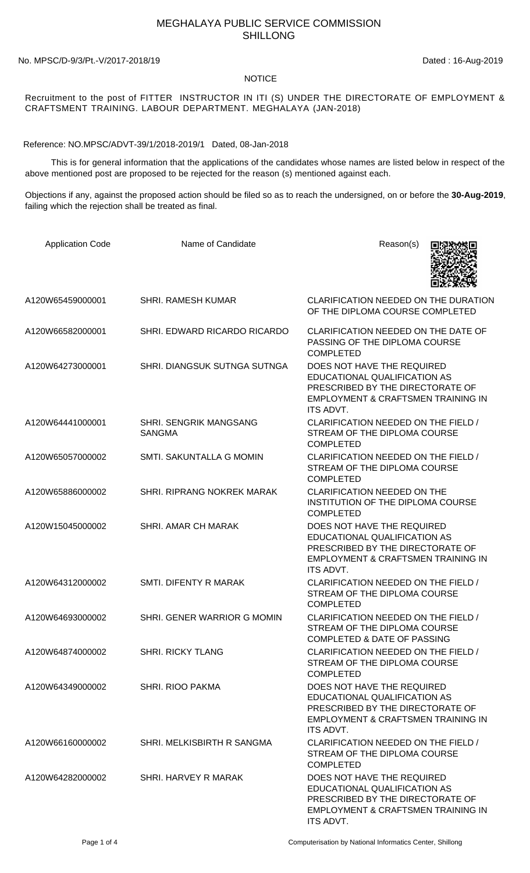## MEGHALAYA PUBLIC SERVICE COMMISSION SHILLONG

No. MPSC/D-9/3/Pt.-V/2017-2018/19 Dated : 16-Aug-2019

## NOTICE

Recruitment to the post of FITTER INSTRUCTOR IN ITI (S) UNDER THE DIRECTORATE OF EMPLOYMENT & CRAFTSMENT TRAINING. LABOUR DEPARTMENT. MEGHALAYA (JAN-2018)

Reference: NO.MPSC/ADVT-39/1/2018-2019/1 Dated, 08-Jan-2018

 This is for general information that the applications of the candidates whose names are listed below in respect of the above mentioned post are proposed to be rejected for the reason (s) mentioned against each.

Objections if any, against the proposed action should be filed so as to reach the undersigned, on or before the **30-Aug-2019**, failing which the rejection shall be treated as final.

| <b>Application Code</b> | Name of Candidate                              | Reason(s)                                                                                                                                                    |
|-------------------------|------------------------------------------------|--------------------------------------------------------------------------------------------------------------------------------------------------------------|
| A120W65459000001        | <b>SHRI. RAMESH KUMAR</b>                      | CLARIFICATION NEEDED ON THE DURATION<br>OF THE DIPLOMA COURSE COMPLETED                                                                                      |
| A120W66582000001        | SHRI. EDWARD RICARDO RICARDO                   | CLARIFICATION NEEDED ON THE DATE OF<br>PASSING OF THE DIPLOMA COURSE<br><b>COMPLETED</b>                                                                     |
| A120W64273000001        | SHRI. DIANGSUK SUTNGA SUTNGA                   | DOES NOT HAVE THE REQUIRED<br>EDUCATIONAL QUALIFICATION AS<br>PRESCRIBED BY THE DIRECTORATE OF<br>EMPLOYMENT & CRAFTSMEN TRAINING IN<br>ITS ADVT.            |
| A120W64441000001        | <b>SHRI. SENGRIK MANGSANG</b><br><b>SANGMA</b> | CLARIFICATION NEEDED ON THE FIELD /<br>STREAM OF THE DIPLOMA COURSE<br><b>COMPLETED</b>                                                                      |
| A120W65057000002        | SMTI, SAKUNTALLA G MOMIN                       | CLARIFICATION NEEDED ON THE FIELD /<br>STREAM OF THE DIPLOMA COURSE<br><b>COMPLETED</b>                                                                      |
| A120W65886000002        | SHRI. RIPRANG NOKREK MARAK                     | <b>CLARIFICATION NEEDED ON THE</b><br>INSTITUTION OF THE DIPLOMA COURSE<br><b>COMPLETED</b>                                                                  |
| A120W15045000002        | SHRI. AMAR CH MARAK                            | DOES NOT HAVE THE REQUIRED<br>EDUCATIONAL QUALIFICATION AS<br>PRESCRIBED BY THE DIRECTORATE OF<br><b>EMPLOYMENT &amp; CRAFTSMEN TRAINING IN</b><br>ITS ADVT. |
| A120W64312000002        | <b>SMTI. DIFENTY R MARAK</b>                   | CLARIFICATION NEEDED ON THE FIELD /<br>STREAM OF THE DIPLOMA COURSE<br><b>COMPLETED</b>                                                                      |
| A120W64693000002        | SHRI. GENER WARRIOR G MOMIN                    | CLARIFICATION NEEDED ON THE FIELD /<br>STREAM OF THE DIPLOMA COURSE<br>COMPLETED & DATE OF PASSING                                                           |
| A120W64874000002        | <b>SHRI. RICKY TLANG</b>                       | CLARIFICATION NEEDED ON THE FIELD /<br>STREAM OF THE DIPLOMA COURSE<br><b>COMPLETED</b>                                                                      |
| A120W64349000002        | SHRI. RIOO PAKMA                               | DOES NOT HAVE THE REQUIRED<br>EDUCATIONAL QUALIFICATION AS<br>PRESCRIBED BY THE DIRECTORATE OF<br>EMPLOYMENT & CRAFTSMEN TRAINING IN<br>ITS ADVT.            |
| A120W66160000002        | SHRI. MELKISBIRTH R SANGMA                     | CLARIFICATION NEEDED ON THE FIELD /<br>STREAM OF THE DIPLOMA COURSE<br><b>COMPLETED</b>                                                                      |
| A120W64282000002        | SHRI. HARVEY R MARAK                           | DOES NOT HAVE THE REQUIRED<br>EDUCATIONAL QUALIFICATION AS<br>PRESCRIBED BY THE DIRECTORATE OF<br>EMPLOYMENT & CRAFTSMEN TRAINING IN<br>ITS ADVT.            |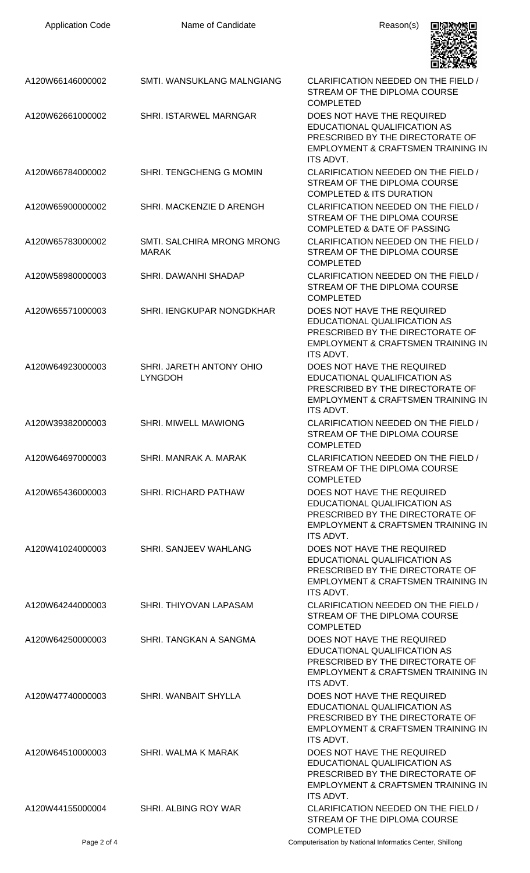| <b>Application Code</b> | Name of Candidate                                 | Reason(s)                                                                                                                                                    |
|-------------------------|---------------------------------------------------|--------------------------------------------------------------------------------------------------------------------------------------------------------------|
| A120W66146000002        | SMTI. WANSUKLANG MALNGIANG                        | CLARIFICATION NEEDED ON THE FIELD /<br>STREAM OF THE DIPLOMA COURSE<br><b>COMPLETED</b>                                                                      |
| A120W62661000002        | <b>SHRI. ISTARWEL MARNGAR</b>                     | DOES NOT HAVE THE REQUIRED<br>EDUCATIONAL QUALIFICATION AS<br>PRESCRIBED BY THE DIRECTORATE OF<br>EMPLOYMENT & CRAFTSMEN TRAINING IN<br><b>ITS ADVT.</b>     |
| A120W66784000002        | SHRI. TENGCHENG G MOMIN                           | CLARIFICATION NEEDED ON THE FIELD /<br>STREAM OF THE DIPLOMA COURSE<br><b>COMPLETED &amp; ITS DURATION</b>                                                   |
| A120W65900000002        | SHRI. MACKENZIE D ARENGH                          | CLARIFICATION NEEDED ON THE FIELD /<br>STREAM OF THE DIPLOMA COURSE<br><b>COMPLETED &amp; DATE OF PASSING</b>                                                |
| A120W65783000002        | <b>SMTI. SALCHIRA MRONG MRONG</b><br><b>MARAK</b> | CLARIFICATION NEEDED ON THE FIELD /<br>STREAM OF THE DIPLOMA COURSE<br><b>COMPLETED</b>                                                                      |
| A120W58980000003        | SHRI, DAWANHI SHADAP                              | CLARIFICATION NEEDED ON THE FIELD /<br>STREAM OF THE DIPLOMA COURSE<br><b>COMPLETED</b>                                                                      |
| A120W65571000003        | SHRI. IENGKUPAR NONGDKHAR                         | DOES NOT HAVE THE REQUIRED<br>EDUCATIONAL QUALIFICATION AS<br>PRESCRIBED BY THE DIRECTORATE OF<br>EMPLOYMENT & CRAFTSMEN TRAINING IN<br>ITS ADVT.            |
| A120W64923000003        | SHRI. JARETH ANTONY OHIO<br><b>LYNGDOH</b>        | DOES NOT HAVE THE REQUIRED<br>EDUCATIONAL QUALIFICATION AS<br>PRESCRIBED BY THE DIRECTORATE OF<br><b>EMPLOYMENT &amp; CRAFTSMEN TRAINING IN</b><br>ITS ADVT. |
| A120W39382000003        | <b>SHRI. MIWELL MAWIONG</b>                       | CLARIFICATION NEEDED ON THE FIELD /<br>STREAM OF THE DIPLOMA COURSE<br><b>COMPLETED</b>                                                                      |
| A120W64697000003        | SHRI, MANRAK A, MARAK                             | CLARIFICATION NEEDED ON THE FIELD /<br>STREAM OF THE DIPLOMA COURSE<br><b>COMPLETED</b>                                                                      |
| A120W65436000003        | <b>SHRI. RICHARD PATHAW</b>                       | DOES NOT HAVE THE REQUIRED<br>EDUCATIONAL QUALIFICATION AS<br>PRESCRIBED BY THE DIRECTORATE OF<br>EMPLOYMENT & CRAFTSMEN TRAINING IN<br><b>ITS ADVT.</b>     |
| A120W41024000003        | SHRI. SANJEEV WAHLANG                             | DOES NOT HAVE THE REQUIRED<br>EDUCATIONAL QUALIFICATION AS<br>PRESCRIBED BY THE DIRECTORATE OF<br>EMPLOYMENT & CRAFTSMEN TRAINING IN<br>ITS ADVT.            |
| A120W64244000003        | SHRI. THIYOVAN LAPASAM                            | CLARIFICATION NEEDED ON THE FIELD /<br>STREAM OF THE DIPLOMA COURSE<br><b>COMPLETED</b>                                                                      |
| A120W64250000003        | SHRI. TANGKAN A SANGMA                            | DOES NOT HAVE THE REQUIRED<br>EDUCATIONAL QUALIFICATION AS<br>PRESCRIBED BY THE DIRECTORATE OF<br>EMPLOYMENT & CRAFTSMEN TRAINING IN<br><b>ITS ADVT.</b>     |
| A120W47740000003        | SHRI. WANBAIT SHYLLA                              | DOES NOT HAVE THE REQUIRED<br>EDUCATIONAL QUALIFICATION AS<br>PRESCRIBED BY THE DIRECTORATE OF<br>EMPLOYMENT & CRAFTSMEN TRAINING IN<br><b>ITS ADVT.</b>     |
| A120W64510000003        | SHRI. WALMA K MARAK                               | DOES NOT HAVE THE REQUIRED<br>EDUCATIONAL QUALIFICATION AS<br>PRESCRIBED BY THE DIRECTORATE OF<br>EMPLOYMENT & CRAFTSMEN TRAINING IN<br>ITS ADVT.            |
| A120W44155000004        | SHRI. ALBING ROY WAR                              | CLARIFICATION NEEDED ON THE FIELD /<br>STREAM OF THE DIPLOMA COURSE<br><b>COMPLETED</b>                                                                      |
| Page 2 of 4             |                                                   | Computerisation by National Informatics Center, Shillong                                                                                                     |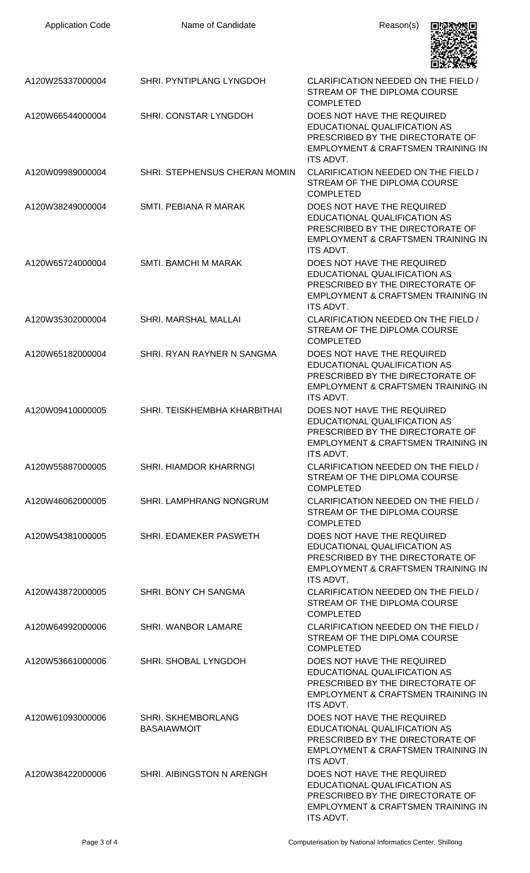| <b>Application Code</b> | Name of Candidate                               | Reason(s)                                                                                                                                                           |
|-------------------------|-------------------------------------------------|---------------------------------------------------------------------------------------------------------------------------------------------------------------------|
| A120W25337000004        | SHRI. PYNTIPLANG LYNGDOH                        | CLARIFICATION NEEDED ON THE FIELD /<br>STREAM OF THE DIPLOMA COURSE<br><b>COMPLETED</b>                                                                             |
| A120W66544000004        | SHRI. CONSTAR LYNGDOH                           | DOES NOT HAVE THE REQUIRED<br>EDUCATIONAL QUALIFICATION AS<br>PRESCRIBED BY THE DIRECTORATE OF<br>EMPLOYMENT & CRAFTSMEN TRAINING IN<br>ITS ADVT.                   |
| A120W09989000004        | SHRI. STEPHENSUS CHERAN MOMIN                   | CLARIFICATION NEEDED ON THE FIELD /<br>STREAM OF THE DIPLOMA COURSE<br><b>COMPLETED</b>                                                                             |
| A120W38249000004        | SMTI. PEBIANA R MARAK                           | DOES NOT HAVE THE REQUIRED<br><b>EDUCATIONAL QUALIFICATION AS</b><br>PRESCRIBED BY THE DIRECTORATE OF<br>EMPLOYMENT & CRAFTSMEN TRAINING IN<br><b>ITS ADVT.</b>     |
| A120W65724000004        | <b>SMTI. BAMCHI M MARAK</b>                     | DOES NOT HAVE THE REQUIRED<br>EDUCATIONAL QUALIFICATION AS<br>PRESCRIBED BY THE DIRECTORATE OF<br>EMPLOYMENT & CRAFTSMEN TRAINING IN<br><b>ITS ADVT.</b>            |
| A120W35302000004        | SHRI. MARSHAL MALLAI                            | CLARIFICATION NEEDED ON THE FIELD /<br>STREAM OF THE DIPLOMA COURSE<br><b>COMPLETED</b>                                                                             |
| A120W65182000004        | SHRI. RYAN RAYNER N SANGMA                      | DOES NOT HAVE THE REQUIRED<br>EDUCATIONAL QUALIFICATION AS<br>PRESCRIBED BY THE DIRECTORATE OF<br>EMPLOYMENT & CRAFTSMEN TRAINING IN<br><b>ITS ADVT.</b>            |
| A120W09410000005        | SHRI. TEISKHEMBHA KHARBITHAI                    | DOES NOT HAVE THE REQUIRED<br>EDUCATIONAL QUALIFICATION AS<br>PRESCRIBED BY THE DIRECTORATE OF<br>EMPLOYMENT & CRAFTSMEN TRAINING IN<br><b>ITS ADVT.</b>            |
| A120W55887000005        | SHRI. HIAMDOR KHARRNGI                          | CLARIFICATION NEEDED ON THE FIELD /<br>STREAM OF THE DIPLOMA COURSE<br><b>COMPLETED</b>                                                                             |
| A120W46062000005        | <b>SHRI. LAMPHRANG NONGRUM</b>                  | CLARIFICATION NEEDED ON THE FIELD /<br>STREAM OF THE DIPLOMA COURSE<br><b>COMPLETED</b>                                                                             |
| A120W54381000005        | SHRI. EDAMEKER PASWETH                          | DOES NOT HAVE THE REQUIRED<br>EDUCATIONAL QUALIFICATION AS<br>PRESCRIBED BY THE DIRECTORATE OF<br>EMPLOYMENT & CRAFTSMEN TRAINING IN<br><b>ITS ADVT.</b>            |
| A120W43872000005        | SHRI. BONY CH SANGMA                            | CLARIFICATION NEEDED ON THE FIELD /<br>STREAM OF THE DIPLOMA COURSE<br><b>COMPLETED</b>                                                                             |
| A120W64992000006        | SHRI. WANBOR LAMARE                             | CLARIFICATION NEEDED ON THE FIELD /<br>STREAM OF THE DIPLOMA COURSE<br><b>COMPLETED</b>                                                                             |
| A120W53661000006        | SHRI. SHOBAL LYNGDOH                            | DOES NOT HAVE THE REQUIRED<br>EDUCATIONAL QUALIFICATION AS<br>PRESCRIBED BY THE DIRECTORATE OF<br>EMPLOYMENT & CRAFTSMEN TRAINING IN<br><b>ITS ADVT.</b>            |
| A120W61093000006        | <b>SHRI. SKHEMBORLANG</b><br><b>BASAIAWMOIT</b> | DOES NOT HAVE THE REQUIRED<br><b>EDUCATIONAL QUALIFICATION AS</b><br>PRESCRIBED BY THE DIRECTORATE OF<br><b>EMPLOYMENT &amp; CRAFTSMEN TRAINING IN</b><br>ITS ADVT. |
| A120W38422000006        | SHRI. AIBINGSTON N ARENGH                       | DOES NOT HAVE THE REQUIRED<br><b>EDUCATIONAL QUALIFICATION AS</b><br>PRESCRIBED BY THE DIRECTORATE OF<br>EMPLOYMENT & CRAFTSMEN TRAINING IN<br>ITS ADVT.            |